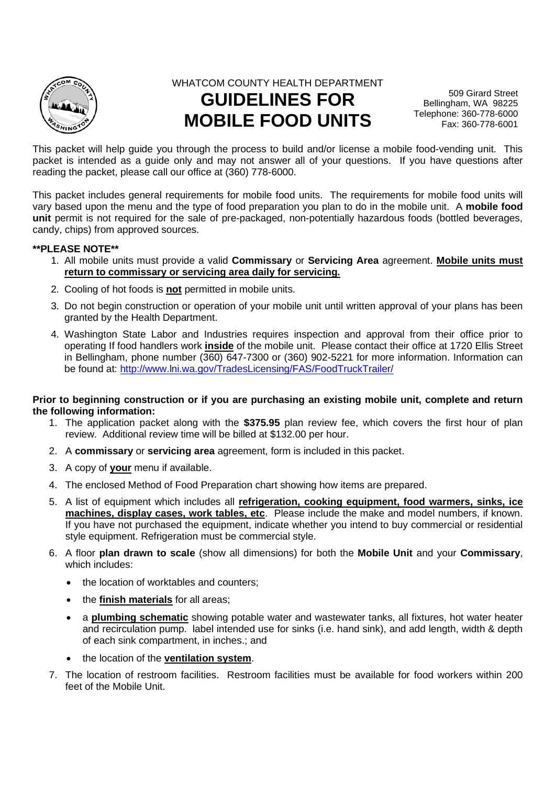

### WHATCOM COUNTY HEALTH DEPARTMENT

# **GUIDELINES FOR MOBILE FOOD UNITS**

509 Girard Street Bellingham, WA 98225 Telephone: 360-778-6000 Fax: 360-778-6001

This packet will help guide you through the process to build and/or license a mobile food-vending unit. This packet is intended as a guide only and may not answer all of your questions. If you have questions after reading the packet, please call our office at (360) 778-6000.

This packet includes general requirements for mobile food units. The requirements for mobile food units will vary based upon the menu and the type of food preparation you plan to do in the mobile unit. A **mobile food unit** permit is not required for the sale of pre-packaged, non-potentially hazardous foods (bottled beverages, candy, chips) from approved sources.

#### **\*\*PLEASE NOTE\*\***

- 1. All mobile units must provide a valid **Commissary** or **Servicing Area** agreement. **Mobile units must return to commissary or servicing area daily for servicing.**
- 2. Cooling of hot foods is **not** permitted in mobile units.
- 3. Do not begin construction or operation of your mobile unit until written approval of your plans has been granted by the Health Department.
- 4. Washington State Labor and Industries requires inspection and approval from their office prior to operating If food handlers work **inside** of the mobile unit. Please contact their office at 1720 Ellis Street in Bellingham, phone number (360) 647-7300 or (360) 902-5221 for more information. Information can be found at: http://www.lni.wa.gov/TradesLicensing/FAS/FoodTruckTrailer/

#### **Prior to beginning construction or if you are purchasing an existing mobile unit, complete and return the following information:**

- 1. The application packet along with the **\$375.95** plan review fee, which covers the first hour of plan review. Additional review time will be billed at \$132.00 per hour.
- 2. A **commissary** or **servicing area** agreement, form is included in this packet.
- 3. A copy of **your** menu if available.
- 4. The enclosed Method of Food Preparation chart showing how items are prepared.
- 5. A list of equipment which includes all **refrigeration, cooking equipment, food warmers, sinks, ice machines, display cases, work tables, etc**. Please include the make and model numbers, if known. If you have not purchased the equipment, indicate whether you intend to buy commercial or residential style equipment. Refrigeration must be commercial style.
- 6. A floor **plan drawn to scale** (show all dimensions) for both the **Mobile Unit** and your **Commissary**, which includes:
	- the location of worktables and counters;
	- the **finish materials** for all areas;
	- a **plumbing schematic** showing potable water and wastewater tanks, all fixtures, hot water heater and recirculation pump. label intended use for sinks (i.e. hand sink), and add length, width & depth of each sink compartment, in inches.; and
	- the location of the **ventilation system**.
- 7. The location of restroom facilities. Restroom facilities must be available for food workers within 200 feet of the Mobile Unit.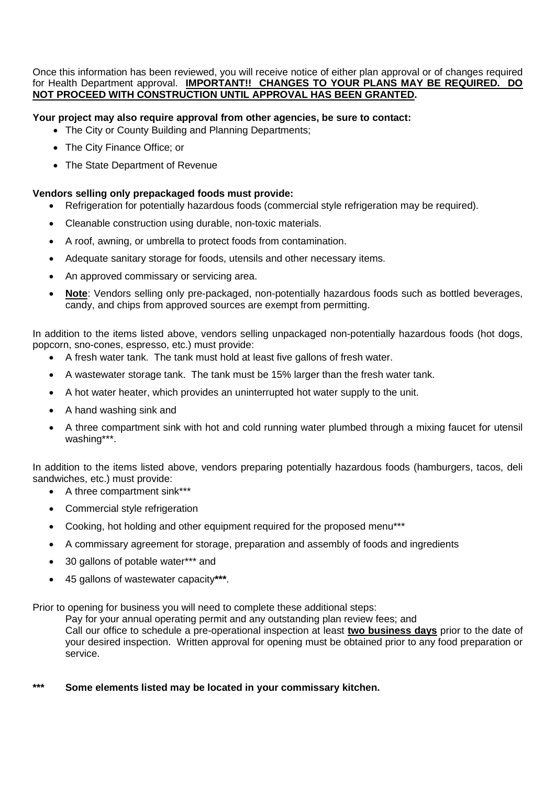Once this information has been reviewed, you will receive notice of either plan approval or of changes required for Health Department approval. **IMPORTANT!! CHANGES TO YOUR PLANS MAY BE REQUIRED. DO NOT PROCEED WITH CONSTRUCTION UNTIL APPROVAL HAS BEEN GRANTED.**

**Your project may also require approval from other agencies, be sure to contact:**

- The City or County Building and Planning Departments;
- The City Finance Office; or
- The State Department of Revenue

#### **Vendors selling only prepackaged foods must provide:**

- Refrigeration for potentially hazardous foods (commercial style refrigeration may be required).
- Cleanable construction using durable, non-toxic materials.
- A roof, awning, or umbrella to protect foods from contamination.
- Adequate sanitary storage for foods, utensils and other necessary items.
- An approved commissary or servicing area.
- **Note**: Vendors selling only pre-packaged, non-potentially hazardous foods such as bottled beverages, candy, and chips from approved sources are exempt from permitting.

In addition to the items listed above, vendors selling unpackaged non-potentially hazardous foods (hot dogs, popcorn, sno-cones, espresso, etc.) must provide:

- A fresh water tank. The tank must hold at least five gallons of fresh water.
- A wastewater storage tank. The tank must be 15% larger than the fresh water tank.
- A hot water heater, which provides an uninterrupted hot water supply to the unit.
- A hand washing sink and
- A three compartment sink with hot and cold running water plumbed through a mixing faucet for utensil washing\*\*\*.

In addition to the items listed above, vendors preparing potentially hazardous foods (hamburgers, tacos, deli sandwiches, etc.) must provide:

- A three compartment sink\*\*\*
- Commercial style refrigeration
- Cooking, hot holding and other equipment required for the proposed menu\*\*\*
- A commissary agreement for storage, preparation and assembly of foods and ingredients
- 30 gallons of potable water\*\*\* and
- 45 gallons of wastewater capacity**\*\*\***.

Prior to opening for business you will need to complete these additional steps:

Pay for your annual operating permit and any outstanding plan review fees; and Call our office to schedule a pre-operational inspection at least **two business days** prior to the date of your desired inspection. Written approval for opening must be obtained prior to any food preparation or service.

#### **\*\*\* Some elements listed may be located in your commissary kitchen.**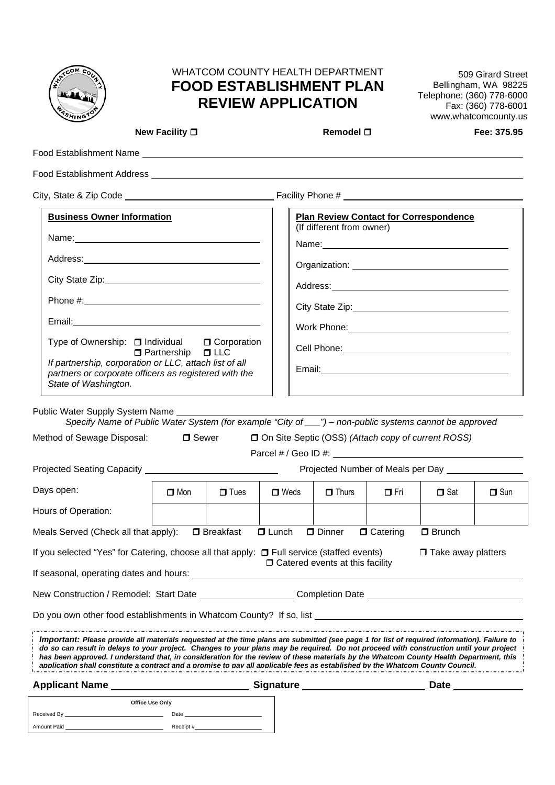| SHING                                                                                                                                                                                                                                                                                                                                                                                                                                                                                                                                                             |                 | WHATCOM COUNTY HEALTH DEPARTMENT<br><b>FOOD ESTABLISHMENT PLAN</b><br><b>REVIEW APPLICATION</b> |              |                                                                                                                                                                                                                                |                 | Telephone: (360) 778-6000                            | 509 Girard Street<br>Bellingham, WA 98225<br>Fax: (360) 778-6001<br>www.whatcomcounty.us |
|-------------------------------------------------------------------------------------------------------------------------------------------------------------------------------------------------------------------------------------------------------------------------------------------------------------------------------------------------------------------------------------------------------------------------------------------------------------------------------------------------------------------------------------------------------------------|-----------------|-------------------------------------------------------------------------------------------------|--------------|--------------------------------------------------------------------------------------------------------------------------------------------------------------------------------------------------------------------------------|-----------------|------------------------------------------------------|------------------------------------------------------------------------------------------|
|                                                                                                                                                                                                                                                                                                                                                                                                                                                                                                                                                                   | New Facility □  |                                                                                                 |              | Remodel □                                                                                                                                                                                                                      |                 |                                                      | Fee: 375.95                                                                              |
|                                                                                                                                                                                                                                                                                                                                                                                                                                                                                                                                                                   |                 |                                                                                                 |              |                                                                                                                                                                                                                                |                 |                                                      |                                                                                          |
|                                                                                                                                                                                                                                                                                                                                                                                                                                                                                                                                                                   |                 |                                                                                                 |              |                                                                                                                                                                                                                                |                 |                                                      |                                                                                          |
|                                                                                                                                                                                                                                                                                                                                                                                                                                                                                                                                                                   |                 |                                                                                                 |              |                                                                                                                                                                                                                                |                 |                                                      |                                                                                          |
| <b>Business Owner Information</b>                                                                                                                                                                                                                                                                                                                                                                                                                                                                                                                                 |                 |                                                                                                 |              |                                                                                                                                                                                                                                |                 | Plan Review Contact for Correspondence               |                                                                                          |
| Name: Name:                                                                                                                                                                                                                                                                                                                                                                                                                                                                                                                                                       |                 |                                                                                                 |              | (If different from owner)                                                                                                                                                                                                      |                 |                                                      |                                                                                          |
|                                                                                                                                                                                                                                                                                                                                                                                                                                                                                                                                                                   |                 |                                                                                                 |              |                                                                                                                                                                                                                                |                 |                                                      |                                                                                          |
| City State Zip: 2008                                                                                                                                                                                                                                                                                                                                                                                                                                                                                                                                              |                 |                                                                                                 |              |                                                                                                                                                                                                                                |                 |                                                      |                                                                                          |
|                                                                                                                                                                                                                                                                                                                                                                                                                                                                                                                                                                   |                 |                                                                                                 |              |                                                                                                                                                                                                                                |                 |                                                      |                                                                                          |
|                                                                                                                                                                                                                                                                                                                                                                                                                                                                                                                                                                   |                 |                                                                                                 |              |                                                                                                                                                                                                                                |                 |                                                      |                                                                                          |
| Type of Ownership: $\Box$ Individual $\Box$ Corporation<br><b>D</b> Partnership<br>If partnership, corporation or LLC, attach list of all<br>partners or corporate officers as registered with the<br>State of Washington.                                                                                                                                                                                                                                                                                                                                        |                 |                                                                                                 |              | Email: Note: Note: No. 2014 19:00:00 PM 20:00:00 PM 20:00:00 PM 20:00:00 PM 20:00:00 PM 20:00:00 PM 20:00:00 PM 20:00:00 PM 20:00:00 PM 20:00:00 PM 20:00:00 PM 20:00:00 PM 20:00:00 PM 20:00:00 PM 20:00:00 PM 20:00:00 PM 20 |                 |                                                      |                                                                                          |
| Public Water Supply System Name<br>Specify Name of Public Water System (for example "City of __") – non-public systems cannot be approved<br>Method of Sewage Disposal:                                                                                                                                                                                                                                                                                                                                                                                           | <b>Sewer</b>    |                                                                                                 |              | Parcel # / Geo ID #:                                                                                                                                                                                                           |                 | □ On Site Septic (OSS) (Attach copy of current ROSS) |                                                                                          |
| <b>Projected Seating Capacity</b>                                                                                                                                                                                                                                                                                                                                                                                                                                                                                                                                 |                 |                                                                                                 |              | Projected Number of Meals per Day                                                                                                                                                                                              |                 |                                                      |                                                                                          |
| Days open:                                                                                                                                                                                                                                                                                                                                                                                                                                                                                                                                                        | $\Box$ Mon      | $\Box$ Tues                                                                                     | $\Box$ Weds  | $\Box$ Thurs                                                                                                                                                                                                                   | $\Box$ Fri      | $\Box$ Sat                                           | $\Box$ Sun                                                                               |
| Hours of Operation:                                                                                                                                                                                                                                                                                                                                                                                                                                                                                                                                               |                 |                                                                                                 |              |                                                                                                                                                                                                                                |                 |                                                      |                                                                                          |
| Meals Served (Check all that apply):                                                                                                                                                                                                                                                                                                                                                                                                                                                                                                                              |                 | <b>D</b> Breakfast                                                                              | $\Box$ Lunch | D Dinner                                                                                                                                                                                                                       | $\Box$ Catering | $\Box$ Brunch                                        |                                                                                          |
| If you selected "Yes" for Catering, choose all that apply: □ Full service (staffed events)                                                                                                                                                                                                                                                                                                                                                                                                                                                                        |                 |                                                                                                 |              |                                                                                                                                                                                                                                |                 | $\Box$ Take away platters                            |                                                                                          |
|                                                                                                                                                                                                                                                                                                                                                                                                                                                                                                                                                                   |                 |                                                                                                 |              | $\Box$ Catered events at this facility                                                                                                                                                                                         |                 |                                                      |                                                                                          |
| New Construction / Remodel: Start Date ____________________Completion Date _________________________                                                                                                                                                                                                                                                                                                                                                                                                                                                              |                 |                                                                                                 |              |                                                                                                                                                                                                                                |                 |                                                      |                                                                                          |
|                                                                                                                                                                                                                                                                                                                                                                                                                                                                                                                                                                   |                 |                                                                                                 |              |                                                                                                                                                                                                                                |                 |                                                      |                                                                                          |
| Important: Please provide all materials requested at the time plans are submitted (see page 1 for list of required information). Failure to<br>do so can result in delays to your project. Changes to your plans may be required. Do not proceed with construction until your project<br>has been approved. I understand that, in consideration for the review of these materials by the Whatcom County Health Department, this<br>application shall constitute a contract and a promise to pay all applicable fees as established by the Whatcom County Council. |                 |                                                                                                 |              |                                                                                                                                                                                                                                |                 |                                                      |                                                                                          |
|                                                                                                                                                                                                                                                                                                                                                                                                                                                                                                                                                                   |                 |                                                                                                 |              |                                                                                                                                                                                                                                |                 |                                                      |                                                                                          |
|                                                                                                                                                                                                                                                                                                                                                                                                                                                                                                                                                                   | Office Use Only |                                                                                                 |              |                                                                                                                                                                                                                                |                 |                                                      |                                                                                          |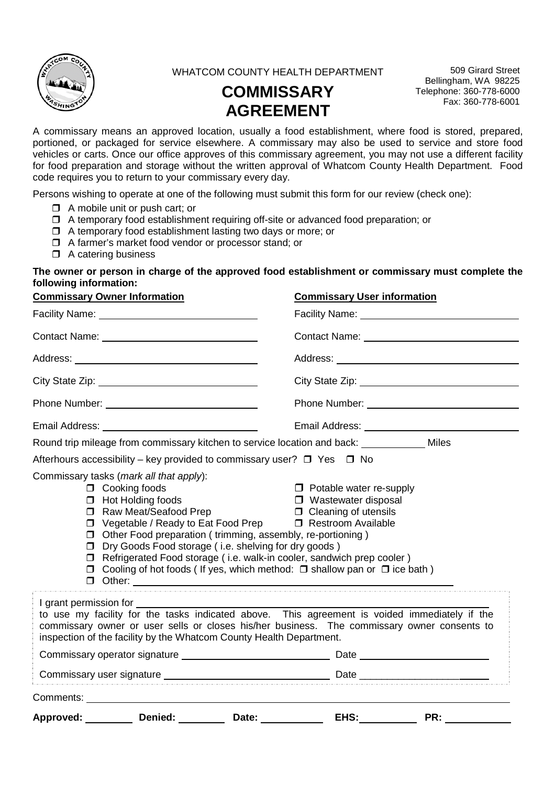

WHATCOM COUNTY HEALTH DEPARTMENT

# **COMMISSARY AGREEMENT**

509 Girard Street Bellingham, WA 98225 Telephone: 360-778-6000 Fax: 360-778-6001

A commissary means an approved location, usually a food establishment, where food is stored, prepared, portioned, or packaged for service elsewhere. A commissary may also be used to service and store food vehicles or carts. Once our office approves of this commissary agreement, you may not use a different facility for food preparation and storage without the written approval of Whatcom County Health Department. Food code requires you to return to your commissary every day.

Persons wishing to operate at one of the following must submit this form for our review (check one):

- $\Box$  A mobile unit or push cart; or
- A temporary food establishment requiring off-site or advanced food preparation; or
- $\Box$  A temporary food establishment lasting two days or more; or
- A farmer's market food vendor or processor stand; or
- $\Box$  A catering business

#### **The owner or person in charge of the approved food establishment or commissary must complete the following information:**

| <b>Commissary Owner Information</b>                                                                                                                                                                                                                                                                                                                                                                        | <b>Commissary User information</b>                                                                                                                                                                     |
|------------------------------------------------------------------------------------------------------------------------------------------------------------------------------------------------------------------------------------------------------------------------------------------------------------------------------------------------------------------------------------------------------------|--------------------------------------------------------------------------------------------------------------------------------------------------------------------------------------------------------|
|                                                                                                                                                                                                                                                                                                                                                                                                            | Facility Name: Name and Secretary Manual Annual Annual Annual Annual Annual Annual Annual Annual Annual Annual                                                                                         |
|                                                                                                                                                                                                                                                                                                                                                                                                            |                                                                                                                                                                                                        |
|                                                                                                                                                                                                                                                                                                                                                                                                            |                                                                                                                                                                                                        |
| City State Zip: 1994                                                                                                                                                                                                                                                                                                                                                                                       |                                                                                                                                                                                                        |
|                                                                                                                                                                                                                                                                                                                                                                                                            |                                                                                                                                                                                                        |
|                                                                                                                                                                                                                                                                                                                                                                                                            |                                                                                                                                                                                                        |
| Round trip mileage from commissary kitchen to service location and back: Miles                                                                                                                                                                                                                                                                                                                             |                                                                                                                                                                                                        |
| Afterhours accessibility – key provided to commissary user? $\Box$ Yes $\Box$ No                                                                                                                                                                                                                                                                                                                           |                                                                                                                                                                                                        |
| Commissary tasks (mark all that apply):<br>$\Box$ Cooking foods<br>$\Box$ Hot Holding foods<br>Raw Meat/Seafood Prep<br>$\Box$ Vegetable / Ready to Eat Food Prep $\Box$ Restroom Available<br>$\Box$ Other Food preparation (trimming, assembly, re-portioning)<br>$\Box$ Dry Goods Food storage (i.e. shelving for dry goods)<br>□ Refrigerated Food storage (i.e. walk-in cooler, sandwich prep cooler) | $\Box$ Potable water re-supply<br>□ Wastewater disposal<br>$\Box$ Cleaning of utensils<br>$\Box$ Cooling of hot foods ( If yes, which method: $\Box$ shallow pan or $\Box$ ice bath )<br>$\Box$ Other: |
| inspection of the facility by the Whatcom County Health Department.                                                                                                                                                                                                                                                                                                                                        | commissary owner or user sells or closes his/her business. The commissary owner consents to                                                                                                            |
|                                                                                                                                                                                                                                                                                                                                                                                                            |                                                                                                                                                                                                        |
|                                                                                                                                                                                                                                                                                                                                                                                                            |                                                                                                                                                                                                        |
| Comments: <b>Example</b>                                                                                                                                                                                                                                                                                                                                                                                   |                                                                                                                                                                                                        |
| Denied:<br>Date:<br>Approved:                                                                                                                                                                                                                                                                                                                                                                              | EHS:<br>PR:                                                                                                                                                                                            |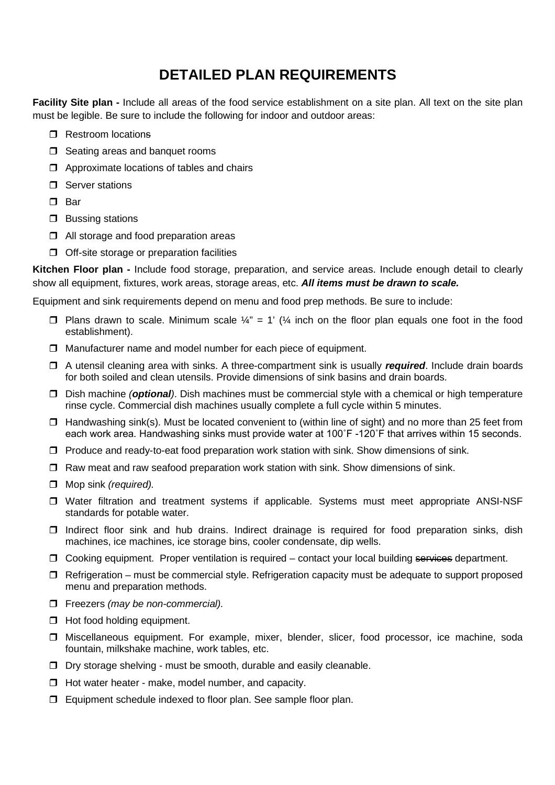## **DETAILED PLAN REQUIREMENTS**

**Facility Site plan -** Include all areas of the food service establishment on a site plan. All text on the site plan must be legible. Be sure to include the following for indoor and outdoor areas:

- **D** Restroom locations
- $\Box$  Seating areas and banquet rooms
- $\Box$  Approximate locations of tables and chairs
- $\Box$  Server stations
- $\Box$  Bar
- $\square$  Bussing stations
- □ All storage and food preparation areas
- $\Box$  Off-site storage or preparation facilities

**Kitchen Floor plan -** Include food storage, preparation, and service areas. Include enough detail to clearly show all equipment, fixtures, work areas, storage areas, etc. *All items must be drawn to scale.*

Equipment and sink requirements depend on menu and food prep methods. Be sure to include:

- **D** Plans drawn to scale. Minimum scale  $\frac{1}{4}$ " = 1' ( $\frac{1}{4}$  inch on the floor plan equals one foot in the food establishment).
- Manufacturer name and model number for each piece of equipment.
- A utensil cleaning area with sinks. A three-compartment sink is usually *required*. Include drain boards for both soiled and clean utensils. Provide dimensions of sink basins and drain boards.
- Dish machine *(optional)*. Dish machines must be commercial style with a chemical or high temperature rinse cycle. Commercial dish machines usually complete a full cycle within 5 minutes.
- $\Box$  Handwashing sink(s). Must be located convenient to (within line of sight) and no more than 25 feet from each work area. Handwashing sinks must provide water at 100˚F -120˚F that arrives within 15 seconds.
- $\Box$  Produce and ready-to-eat food preparation work station with sink. Show dimensions of sink.
- $\Box$  Raw meat and raw seafood preparation work station with sink. Show dimensions of sink.
- □ Mop sink *(required)*.
- Water filtration and treatment systems if applicable. Systems must meet appropriate ANSI-NSF standards for potable water.
- $\Box$  Indirect floor sink and hub drains. Indirect drainage is required for food preparation sinks, dish machines, ice machines, ice storage bins, cooler condensate, dip wells.
- $\Box$  Cooking equipment. Proper ventilation is required contact your local building services department.
- $\Box$  Refrigeration must be commercial style. Refrigeration capacity must be adequate to support proposed menu and preparation methods.
- $\Box$  Freezers *(may be non-commercial).*
- $\Box$  Hot food holding equipment.
- Miscellaneous equipment. For example, mixer, blender, slicer, food processor, ice machine, soda fountain, milkshake machine, work tables, etc.
- $\Box$  Dry storage shelving must be smooth, durable and easily cleanable.
- $\Box$  Hot water heater make, model number, and capacity.
- **Equipment schedule indexed to floor plan. See sample floor plan.**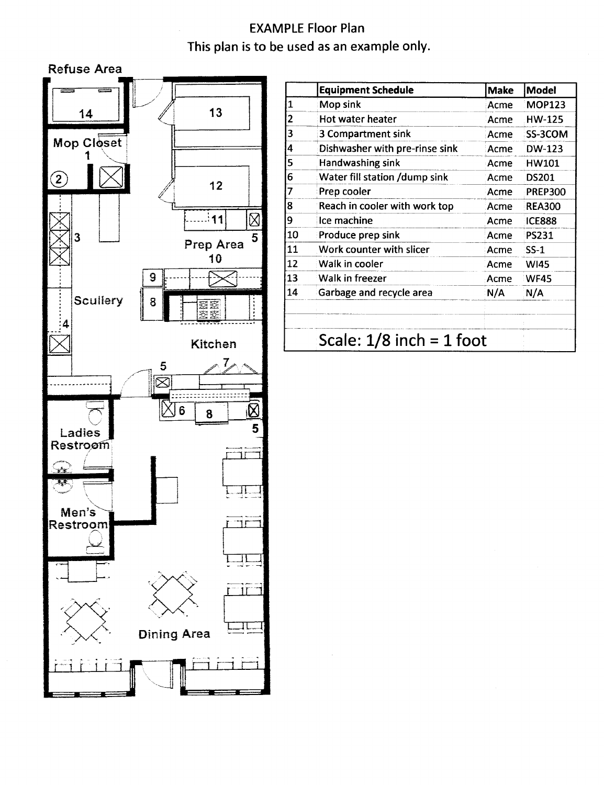# **EXAMPLE Floor Plan** This plan is to be used as an example only.



|              | <b>Equipment Schedule</b>      | <b>Make</b> | <b>Model</b>   |
|--------------|--------------------------------|-------------|----------------|
| $\mathbf{1}$ | Mop sink                       | Acme        | <b>MOP123</b>  |
| 2            | Hot water heater               | Acme        | HW-125         |
| 3            | 3 Compartment sink             | Acme        | SS-3COM        |
| 4            | Dishwasher with pre-rinse sink | Acme        | DW-123         |
| 5            | Handwashing sink               | Acme        | HW101          |
| 6            | Water fill station /dump sink  | Acme        | DS201          |
| 7            | Prep cooler                    | Acme        | <b>PREP300</b> |
| 8            | Reach in cooler with work top  | Acme        | <b>REA300</b>  |
| 9            | Ice machine                    | Acme        | <b>ICE888</b>  |
| 10           | Produce prep sink              | Acme        | <b>PS231</b>   |
| 11           | Work counter with slicer       | Acme        | $SS-1$         |
| 12           | Walk in cooler                 | Acme        | <b>WI45</b>    |
| 13           | Walk in freezer                | Acme        | <b>WF45</b>    |
| 14           | Garbage and recycle area       | N/A         | N/A            |
|              |                                |             |                |
|              | Scale: $1/8$ inch = 1 foot     |             |                |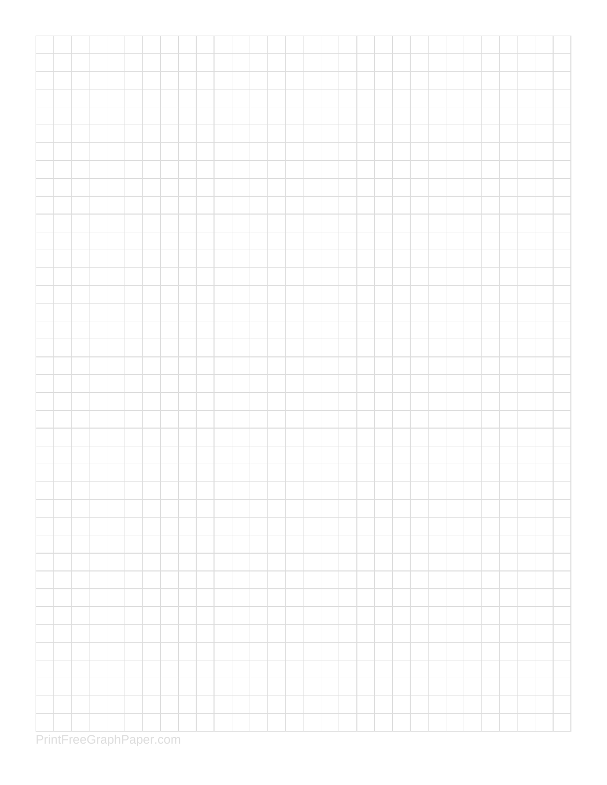[PrintFreeGraphPaper.com](http://www.printfreegraphpaper.com/)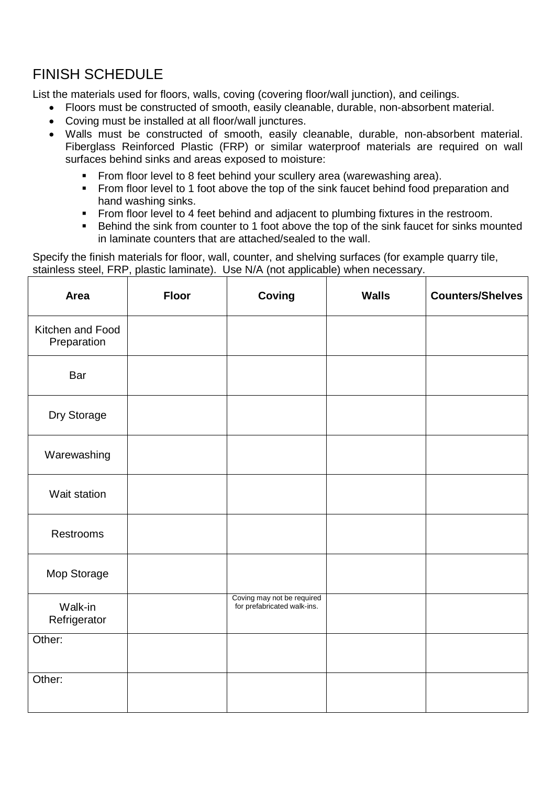# FINISH SCHEDULE

List the materials used for floors, walls, coving (covering floor/wall junction), and ceilings.

- Floors must be constructed of smooth, easily cleanable, durable, non-absorbent material.
- Coving must be installed at all floor/wall junctures.
- Walls must be constructed of smooth, easily cleanable, durable, non-absorbent material. Fiberglass Reinforced Plastic (FRP) or similar waterproof materials are required on wall surfaces behind sinks and areas exposed to moisture:
	- From floor level to 8 feet behind your scullery area (warewashing area).
	- From floor level to 1 foot above the top of the sink faucet behind food preparation and hand washing sinks.
	- From floor level to 4 feet behind and adjacent to plumbing fixtures in the restroom.
	- Behind the sink from counter to 1 foot above the top of the sink faucet for sinks mounted in laminate counters that are attached/sealed to the wall.

Specify the finish materials for floor, wall, counter, and shelving surfaces (for example quarry tile, stainless steel, FRP, plastic laminate). Use N/A (not applicable) when necessary.

| Area                            | <b>Floor</b> | Coving                                                    | <b>Walls</b> | <b>Counters/Shelves</b> |
|---------------------------------|--------------|-----------------------------------------------------------|--------------|-------------------------|
| Kitchen and Food<br>Preparation |              |                                                           |              |                         |
| Bar                             |              |                                                           |              |                         |
| Dry Storage                     |              |                                                           |              |                         |
| Warewashing                     |              |                                                           |              |                         |
| Wait station                    |              |                                                           |              |                         |
| Restrooms                       |              |                                                           |              |                         |
| Mop Storage                     |              |                                                           |              |                         |
| Walk-in<br>Refrigerator         |              | Coving may not be required<br>for prefabricated walk-ins. |              |                         |
| Other:                          |              |                                                           |              |                         |
| Other:                          |              |                                                           |              |                         |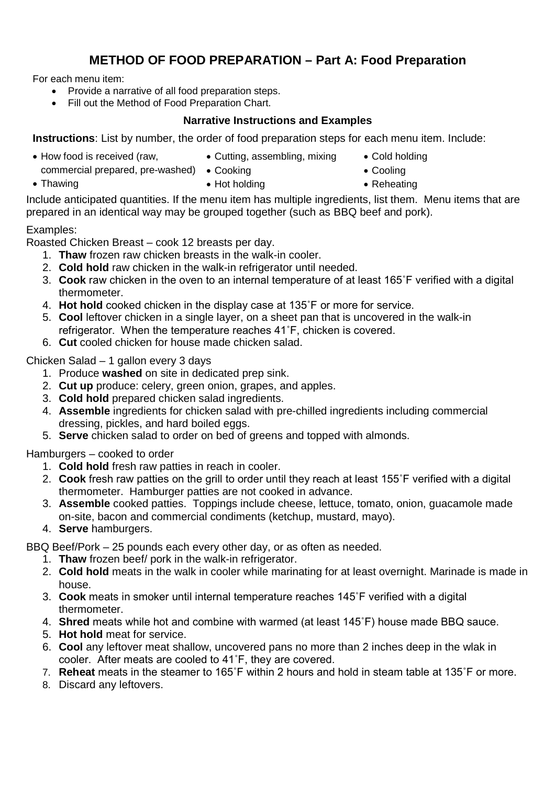## **METHOD OF FOOD PREPARATION – Part A: Food Preparation**

For each menu item:

- Provide a narrative of all food preparation steps.
- Fill out the Method of Food Preparation Chart.

### **Narrative Instructions and Examples**

**Instructions**: List by number, the order of food preparation steps for each menu item. Include:

- How food is received (raw,
- Cutting, assembling, mixing
- Cold holding
- commercial prepared, pre-washed) . Cooking
	- Hot holding

• Cooling • Reheating

Include anticipated quantities. If the menu item has multiple ingredients, list them. Menu items that are prepared in an identical way may be grouped together (such as BBQ beef and pork).

### Examples:

• Thawing

Roasted Chicken Breast – cook 12 breasts per day.

- 1. **Thaw** frozen raw chicken breasts in the walk-in cooler.
- 2. **Cold hold** raw chicken in the walk-in refrigerator until needed.
- 3. **Cook** raw chicken in the oven to an internal temperature of at least 165˚F verified with a digital thermometer.
- 4. **Hot hold** cooked chicken in the display case at 135˚F or more for service.
- 5. **Cool** leftover chicken in a single layer, on a sheet pan that is uncovered in the walk-in refrigerator. When the temperature reaches 41˚F, chicken is covered.
- 6. **Cut** cooled chicken for house made chicken salad.

Chicken Salad – 1 gallon every 3 days

- 1. Produce **washed** on site in dedicated prep sink.
- 2. **Cut up** produce: celery, green onion, grapes, and apples.
- 3. **Cold hold** prepared chicken salad ingredients.
- 4. **Assemble** ingredients for chicken salad with pre-chilled ingredients including commercial dressing, pickles, and hard boiled eggs.
- 5. **Serve** chicken salad to order on bed of greens and topped with almonds.

Hamburgers – cooked to order

- 1. **Cold hold** fresh raw patties in reach in cooler.
- 2. **Cook** fresh raw patties on the grill to order until they reach at least 155˚F verified with a digital thermometer. Hamburger patties are not cooked in advance.
- 3. **Assemble** cooked patties. Toppings include cheese, lettuce, tomato, onion, guacamole made on-site, bacon and commercial condiments (ketchup, mustard, mayo).
- 4. **Serve** hamburgers.

BBQ Beef/Pork – 25 pounds each every other day, or as often as needed.

- 1. **Thaw** frozen beef/ pork in the walk-in refrigerator.
- 2. **Cold hold** meats in the walk in cooler while marinating for at least overnight. Marinade is made in house.
- 3. **Cook** meats in smoker until internal temperature reaches 145˚F verified with a digital thermometer.
- 4. **Shred** meats while hot and combine with warmed (at least 145˚F) house made BBQ sauce.
- 5. **Hot hold** meat for service.
- 6. **Cool** any leftover meat shallow, uncovered pans no more than 2 inches deep in the wlak in cooler. After meats are cooled to 41˚F, they are covered.
- 7. **Reheat** meats in the steamer to 165˚F within 2 hours and hold in steam table at 135˚F or more.
- 8. Discard any leftovers.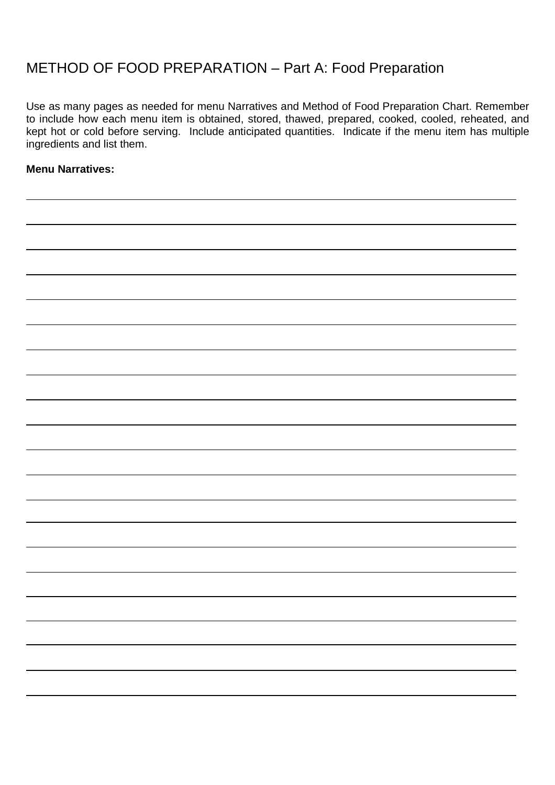# METHOD OF FOOD PREPARATION – Part A: Food Preparation

Use as many pages as needed for menu Narratives and Method of Food Preparation Chart. Remember to include how each menu item is obtained, stored, thawed, prepared, cooked, cooled, reheated, and kept hot or cold before serving. Include anticipated quantities. Indicate if the menu item has multiple ingredients and list them.

**Menu Narratives:**

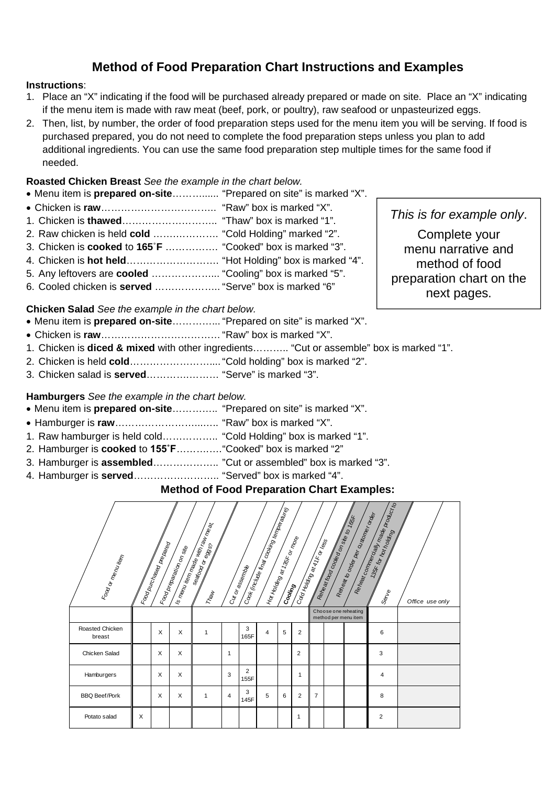## **Method of Food Preparation Chart Instructions and Examples**

#### **Instructions**:

- 1. Place an "X" indicating if the food will be purchased already prepared or made on site. Place an "X" indicating if the menu item is made with raw meat (beef, pork, or poultry), raw seafood or unpasteurized eggs.
- 2. Then, list, by number, the order of food preparation steps used for the menu item you will be serving. If food is purchased prepared, you do not need to complete the food preparation steps unless you plan to add additional ingredients. You can use the same food preparation step multiple times for the same food if needed.

#### **Roasted Chicken Breast** *See the example in the chart below.*

- Menu item is **prepared on-site**………...... "Prepared on site" is marked "X".
- Chicken is **raw**…………………………….. "Raw" box is marked "X".
- 1. Chicken is **thawed**……………………….. "Thaw" box is marked "1".
- 2. Raw chicken is held **cold** …….…………. "Cold Holding" marked "2".
- 3. Chicken is **cooked** to **165**˚**F** ……………. "Cooked" box is marked "3".
- 4. Chicken is **hot held**………………………. "Hot Holding" box is marked "4".
- 5. Any leftovers are **cooled** ………………... "Cooling" box is marked "5".
- 6. Cooled chicken is **served** ……………….. "Serve" box is marked "6"

## *This is for example only*.

Complete your menu narrative and method of food preparation chart on the next pages.

**Chicken Salad** *See the example in the chart below.*

- Menu item is **prepared on-site**…………... "Prepared on site" is marked "X".
- Chicken is **raw**……………………………… "Raw" box is marked "X".
- 1. Chicken is **diced & mixed** with other ingredients……….. "Cut or assemble" box is marked "1".
- 2. Chicken is held **cold**…………………….... "Cold holding" box is marked "2".
- 3. Chicken salad is **served**………….……… "Serve" is marked "3".

**Hamburgers** *See the example in the chart below.*

- Menu item is **prepared on-site**………….. "Prepared on site" is marked "X".
- Hamburger is **raw**……………………...….. "Raw" box is marked "X".
- 1. Raw hamburger is held cold…………….. "Cold Holding" box is marked "1".
- 2. Hamburger is **cooked** to **155˚F**……….…."Cooked" box is marked "2"
- 3. Hamburger is **assembled**……………….. "Cut or assembled" box is marked "3".
- 4. Hamburger is **served**…………………….. "Served" box is marked "4".

### **Method of Food Preparation Chart Examples:**

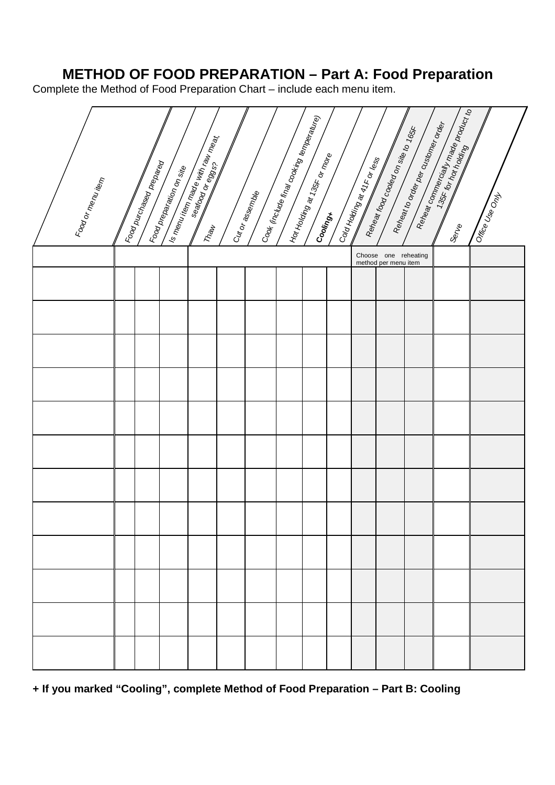## **METHOD OF FOOD PREPARATION – Part A: Food Preparation**

Complete the Method of Food Preparation Chart – include each menu item.



**+ If you marked "Cooling", complete Method of Food Preparation – Part B: Cooling**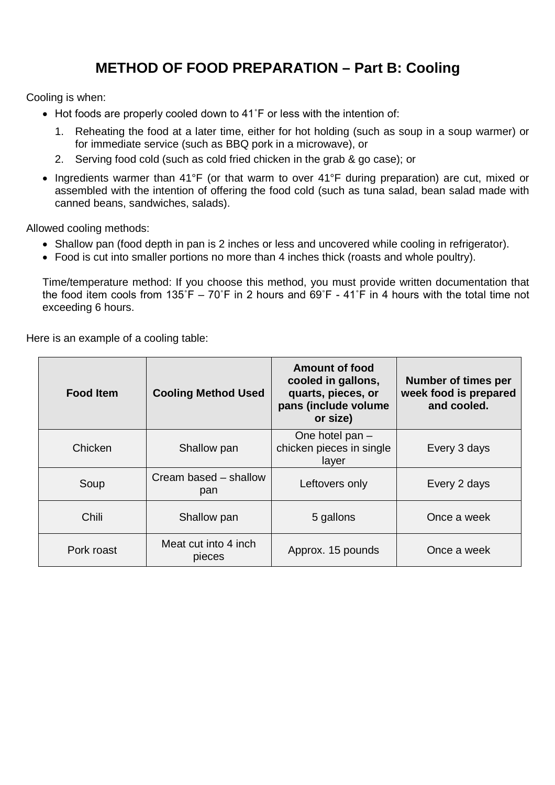## **METHOD OF FOOD PREPARATION – Part B: Cooling**

Cooling is when:

- Hot foods are properly cooled down to 41°F or less with the intention of:
	- 1. Reheating the food at a later time, either for hot holding (such as soup in a soup warmer) or for immediate service (such as BBQ pork in a microwave), or
	- 2. Serving food cold (such as cold fried chicken in the grab & go case); or
- Ingredients warmer than 41°F (or that warm to over 41°F during preparation) are cut, mixed or assembled with the intention of offering the food cold (such as tuna salad, bean salad made with canned beans, sandwiches, salads).

Allowed cooling methods:

- Shallow pan (food depth in pan is 2 inches or less and uncovered while cooling in refrigerator).
- Food is cut into smaller portions no more than 4 inches thick (roasts and whole poultry).

Time/temperature method: If you choose this method, you must provide written documentation that the food item cools from 135°F – 70°F in 2 hours and 69°F - 41°F in 4 hours with the total time not exceeding 6 hours.

Here is an example of a cooling table:

| <b>Food Item</b> | <b>Cooling Method Used</b>     | Amount of food<br>cooled in gallons,<br>quarts, pieces, or<br>pans (include volume<br>or size) | <b>Number of times per</b><br>week food is prepared<br>and cooled. |
|------------------|--------------------------------|------------------------------------------------------------------------------------------------|--------------------------------------------------------------------|
| Chicken          | Shallow pan                    | One hotel pan -<br>chicken pieces in single<br>layer                                           | Every 3 days                                                       |
| Soup             | Cream based - shallow<br>pan   | Leftovers only                                                                                 | Every 2 days                                                       |
| Chili            | Shallow pan                    | 5 gallons                                                                                      | Once a week                                                        |
| Pork roast       | Meat cut into 4 inch<br>pieces | Approx. 15 pounds                                                                              | Once a week                                                        |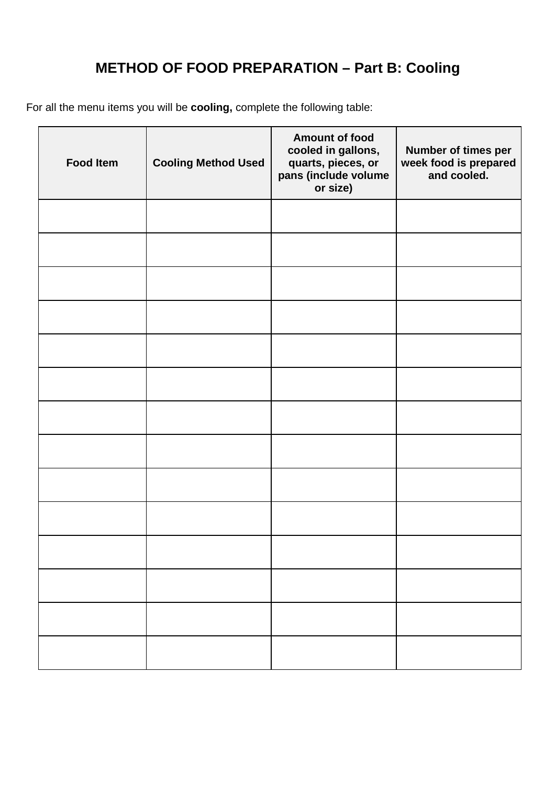# **METHOD OF FOOD PREPARATION – Part B: Cooling**

For all the menu items you will be **cooling,** complete the following table:

| <b>Food Item</b> | <b>Cooling Method Used</b> | <b>Amount of food</b><br>cooled in gallons,<br>quarts, pieces, or<br>pans (include volume<br>or size) | Number of times per<br>week food is prepared<br>and cooled. |
|------------------|----------------------------|-------------------------------------------------------------------------------------------------------|-------------------------------------------------------------|
|                  |                            |                                                                                                       |                                                             |
|                  |                            |                                                                                                       |                                                             |
|                  |                            |                                                                                                       |                                                             |
|                  |                            |                                                                                                       |                                                             |
|                  |                            |                                                                                                       |                                                             |
|                  |                            |                                                                                                       |                                                             |
|                  |                            |                                                                                                       |                                                             |
|                  |                            |                                                                                                       |                                                             |
|                  |                            |                                                                                                       |                                                             |
|                  |                            |                                                                                                       |                                                             |
|                  |                            |                                                                                                       |                                                             |
|                  |                            |                                                                                                       |                                                             |
|                  |                            |                                                                                                       |                                                             |
|                  |                            |                                                                                                       |                                                             |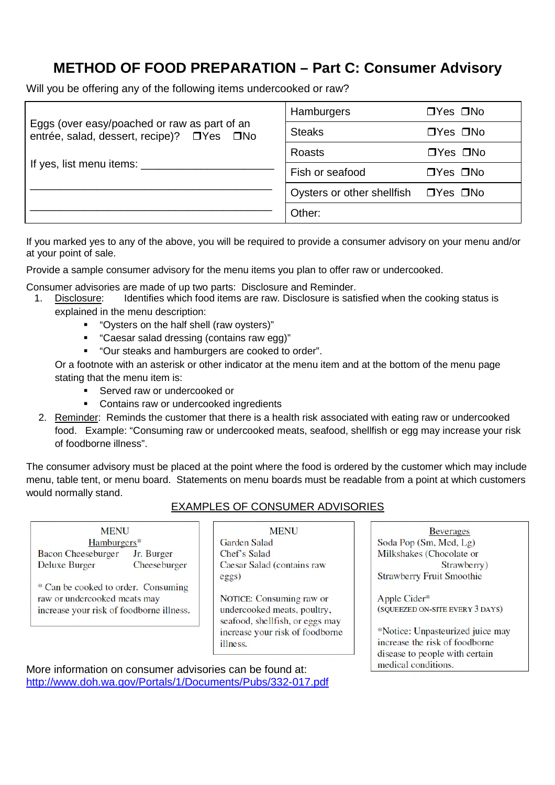## **METHOD OF FOOD PREPARATION – Part C: Consumer Advisory**

Will you be offering any of the following items undercooked or raw?

|                                                                                             | Hamburgers                            | $\Box$ Yes $\Box$ No  |
|---------------------------------------------------------------------------------------------|---------------------------------------|-----------------------|
| Eggs (over easy/poached or raw as part of an<br>entrée, salad, dessert, recipe)? □ Yes □ No | <b>Steaks</b>                         | $\Box Y$ es $\Box$ No |
|                                                                                             | <b>Roasts</b>                         | $\Box$ Yes $\Box$ No  |
| If yes, list menu items:                                                                    | Fish or seafood                       | $\Box$ Yes $\Box$ No  |
|                                                                                             | Oysters or other shellfish □ Yes □ No |                       |
|                                                                                             | Other:                                |                       |

If you marked yes to any of the above, you will be required to provide a consumer advisory on your menu and/or at your point of sale.

Provide a sample consumer advisory for the menu items you plan to offer raw or undercooked.

Consumer advisories are made of up two parts: Disclosure and Reminder.

- 1. Disclosure: Identifies which food items are raw. Disclosure is satisfied when the cooking status is explained in the menu description:
	- "Oysters on the half shell (raw oysters)"
	- "Caesar salad dressing (contains raw egg)"
	- "Our steaks and hamburgers are cooked to order".

Or a footnote with an asterisk or other indicator at the menu item and at the bottom of the menu page stating that the menu item is:

- Served raw or undercooked or
- **Contains raw or undercooked ingredients**
- 2. Reminder: Reminds the customer that there is a health risk associated with eating raw or undercooked food. Example: "Consuming raw or undercooked meats, seafood, shellfish or egg may increase your risk of foodborne illness".

The consumer advisory must be placed at the point where the food is ordered by the customer which may include menu, table tent, or menu board. Statements on menu boards must be readable from a point at which customers would normally stand.

#### EXAMPLES OF CONSUMER ADVISORIES

| <b>MENU</b>               |              |     |
|---------------------------|--------------|-----|
| Hamburgers*               |              | Gar |
| <b>Bacon Cheeseburger</b> | Jr. Burger   | Che |
| Deluxe Burger             | Cheeseburger | Cae |
|                           |              |     |

\* Can be cooked to order. Consuming raw or undercooked meats may increase your risk of foodborne illness.

**MENU** den Salad f's Salad sar Salad (contains raw eggs)

NOTICE: Consuming raw or undercooked meats, poultry, seafood, shellfish, or eggs may increase your risk of foodborne illness.

**Beverages** Soda Pop (Sm, Med, Lg) Milkshakes (Chocolate or Strawberry) **Strawberry Fruit Smoothie** 

Apple Cider\* (SQUEEZED ON-SITE EVERY 3 DAYS)

\*Notice: Unpasteurized juice may increase the risk of foodborne disease to people with certain medical conditions.

More information on consumer advisories can be found at: http://www.doh.wa.gov/Portals/1/Documents/Pubs/332-017.pdf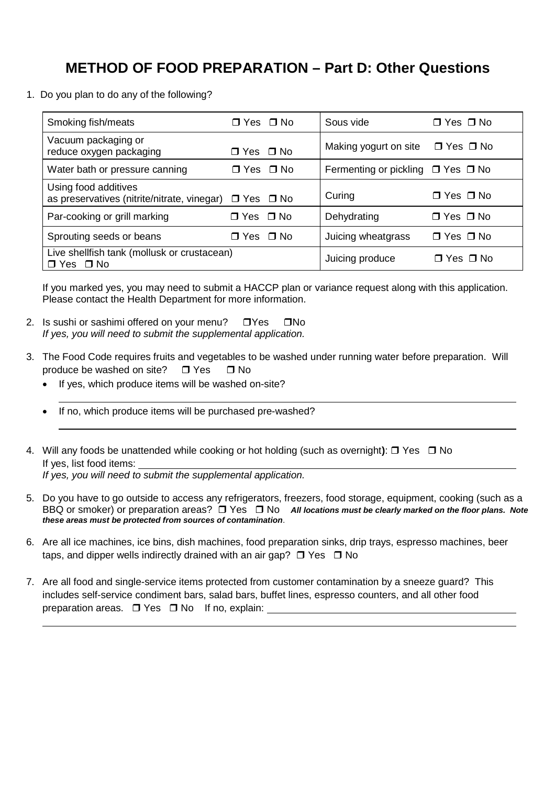## **METHOD OF FOOD PREPARATION – Part D: Other Questions**

1. Do you plan to do any of the following?

| Smoking fish/meats                                                             | □ Yes □ No           | Sous vide                                   | $\Box$ Yes $\Box$ No |
|--------------------------------------------------------------------------------|----------------------|---------------------------------------------|----------------------|
| Vacuum packaging or<br>reduce oxygen packaging                                 | $\Box$ Yes $\Box$ No | Making yogurt on site                       | $\Box$ Yes $\Box$ No |
| Water bath or pressure canning                                                 | □ Yes □ No           | Fermenting or pickling $\Box$ Yes $\Box$ No |                      |
| Using food additives<br>as preservatives (nitrite/nitrate, vinegar) □ Yes □ No |                      | Curing                                      | $\Box$ Yes $\Box$ No |
| Par-cooking or grill marking                                                   | $\Box$ Yes $\Box$ No | Dehydrating                                 | □ Yes □ No           |
| Sprouting seeds or beans                                                       | $\Box$ Yes $\Box$ No | Juicing wheatgrass                          | $\Box$ Yes $\Box$ No |
| Live shellfish tank (mollusk or crustacean)<br>$\Box$ Yes $\Box$ No            |                      | Juicing produce                             | □ Yes □ No           |

If you marked yes, you may need to submit a HACCP plan or variance request along with this application. Please contact the Health Department for more information.

- 2. Is sushi or sashimi offered on your menu?  $\Box$  Yes  $\Box$  No *If yes, you will need to submit the supplemental application.*
- 3. The Food Code requires fruits and vegetables to be washed under running water before preparation. Will produce be washed on site?  $\Box$  Yes  $\Box$  No
	- If yes, which produce items will be washed on-site?
	- If no, which produce items will be purchased pre-washed?
- 4. Will any foods be unattended while cooking or hot holding (such as overnight): □ Yes □ No If yes, list food items: *If yes, you will need to submit the supplemental application.*
- 5. Do you have to go outside to access any refrigerators, freezers, food storage, equipment, cooking (such as a BBQ or smoker) or preparation areas?  $\Box$  Yes  $\Box$  No All locations must be clearly marked on the floor plans. Note *these areas must be protected from sources of contamination*.
- 6. Are all ice machines, ice bins, dish machines, food preparation sinks, drip trays, espresso machines, beer taps, and dipper wells indirectly drained with an air gap?  $\Box$  Yes  $\Box$  No
- 7. Are all food and single-service items protected from customer contamination by a sneeze guard? This includes self-service condiment bars, salad bars, buffet lines, espresso counters, and all other food preparation areas.  $\Box$  Yes  $\Box$  No If no, explain: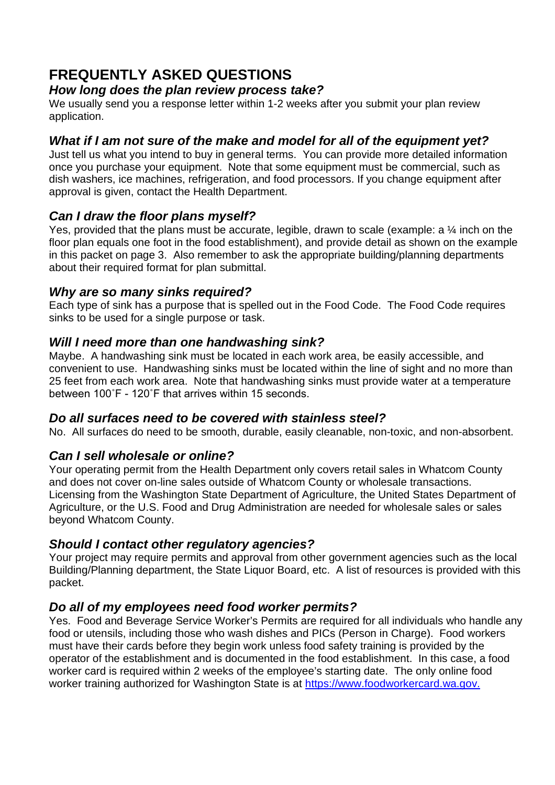## **FREQUENTLY ASKED QUESTIONS**

## *How long does the plan review process take?*

We usually send you a response letter within 1-2 weeks after you submit your plan review application.

## *What if I am not sure of the make and model for all of the equipment yet?*

Just tell us what you intend to buy in general terms. You can provide more detailed information once you purchase your equipment. Note that some equipment must be commercial, such as dish washers, ice machines, refrigeration, and food processors. If you change equipment after approval is given, contact the Health Department.

## *Can I draw the floor plans myself?*

Yes, provided that the plans must be accurate, legible, drawn to scale (example: a ¼ inch on the floor plan equals one foot in the food establishment), and provide detail as shown on the example in this packet on page 3. Also remember to ask the appropriate building/planning departments about their required format for plan submittal.

### *Why are so many sinks required?*

Each type of sink has a purpose that is spelled out in the Food Code. The Food Code requires sinks to be used for a single purpose or task.

### *Will I need more than one handwashing sink?*

Maybe. A handwashing sink must be located in each work area, be easily accessible, and convenient to use. Handwashing sinks must be located within the line of sight and no more than 25 feet from each work area. Note that handwashing sinks must provide water at a temperature between 100˚F - 120˚F that arrives within 15 seconds.

### *Do all surfaces need to be covered with stainless steel?*

No. All surfaces do need to be smooth, durable, easily cleanable, non-toxic, and non-absorbent.

## *Can I sell wholesale or online?*

Your operating permit from the Health Department only covers retail sales in Whatcom County and does not cover on-line sales outside of Whatcom County or wholesale transactions. Licensing from the Washington State Department of Agriculture, the United States Department of Agriculture, or the U.S. Food and Drug Administration are needed for wholesale sales or sales beyond Whatcom County.

### *Should I contact other regulatory agencies?*

Your project may require permits and approval from other government agencies such as the local Building/Planning department, the State Liquor Board, etc. A list of resources is provided with this packet.

## *Do all of my employees need food worker permits?*

Yes. Food and Beverage Service Worker's Permits are required for all individuals who handle any food or utensils, including those who wash dishes and PICs (Person in Charge). Food workers must have their cards before they begin work unless food safety training is provided by the operator of the establishment and is documented in the food establishment. In this case, a food worker card is required within 2 weeks of the employee's starting date. The only online food worker training authorized for Washington State is at https://www.foodworkercard.wa.gov.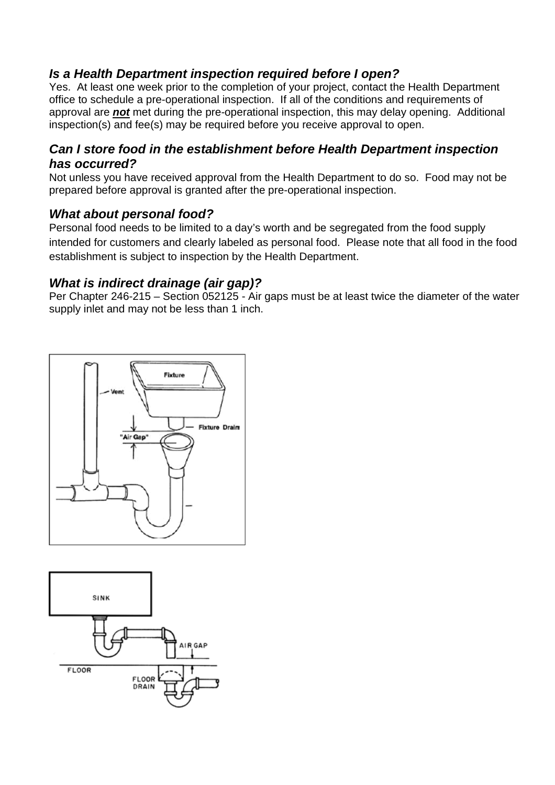## *Is a Health Department inspection required before I open?*

Yes. At least one week prior to the completion of your project, contact the Health Department office to schedule a pre-operational inspection. If all of the conditions and requirements of approval are *not* met during the pre-operational inspection, this may delay opening. Additional inspection(s) and fee(s) may be required before you receive approval to open.

## *Can I store food in the establishment before Health Department inspection has occurred?*

Not unless you have received approval from the Health Department to do so. Food may not be prepared before approval is granted after the pre-operational inspection.

## *What about personal food?*

Personal food needs to be limited to a day's worth and be segregated from the food supply intended for customers and clearly labeled as personal food. Please note that all food in the food establishment is subject to inspection by the Health Department.

## *What is indirect drainage (air gap)?*

Per Chapter 246-215 – Section 052125 - Air gaps must be at least twice the diameter of the water supply inlet and may not be less than 1 inch.



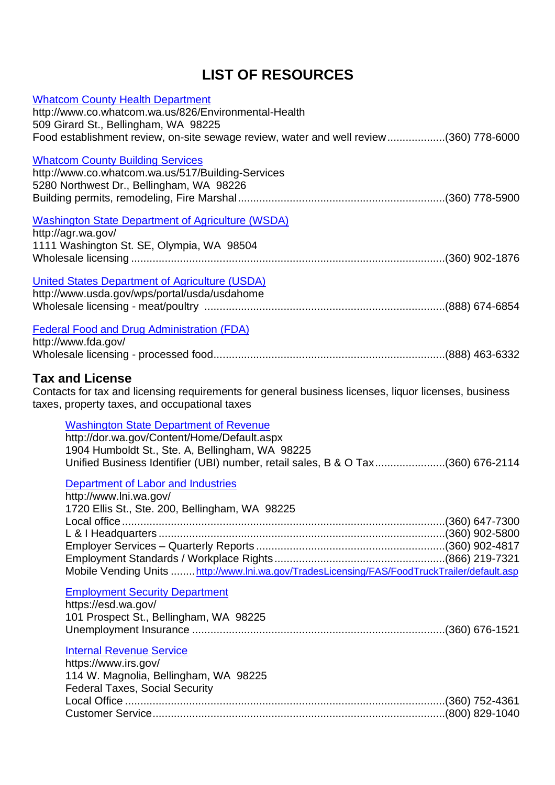# **LIST OF RESOURCES**

| <b>Whatcom County Health Department</b>                                                              |  |
|------------------------------------------------------------------------------------------------------|--|
| http://www.co.whatcom.wa.us/826/Environmental-Health<br>509 Girard St., Bellingham, WA 98225         |  |
| Food establishment review, on-site sewage review, water and well review(360) 778-6000                |  |
|                                                                                                      |  |
| <b>Whatcom County Building Services</b>                                                              |  |
| http://www.co.whatcom.wa.us/517/Building-Services                                                    |  |
| 5280 Northwest Dr., Bellingham, WA 98226                                                             |  |
|                                                                                                      |  |
| <b>Washington State Department of Agriculture (WSDA)</b>                                             |  |
| http://agr.wa.gov/                                                                                   |  |
| 1111 Washington St. SE, Olympia, WA 98504                                                            |  |
|                                                                                                      |  |
| <b>United States Department of Agriculture (USDA)</b>                                                |  |
| http://www.usda.gov/wps/portal/usda/usdahome                                                         |  |
|                                                                                                      |  |
|                                                                                                      |  |
| <b>Federal Food and Drug Administration (FDA)</b>                                                    |  |
| http://www.fda.gov/                                                                                  |  |
|                                                                                                      |  |
| <b>Tax and License</b>                                                                               |  |
| Contacts for tax and licensing requirements for general business licenses, liquor licenses, business |  |
| taxes, property taxes, and occupational taxes                                                        |  |
| <b>Washington State Department of Revenue</b>                                                        |  |
| http://dor.wa.gov/Content/Home/Default.aspx                                                          |  |
| 1904 Humboldt St., Ste. A, Bellingham, WA 98225                                                      |  |
| Unified Business Identifier (UBI) number, retail sales, B & O Tax(360) 676-2114                      |  |
| Department of Labor and Industries                                                                   |  |
| http://www.lni.wa.gov/                                                                               |  |
| 1720 Ellis St., Ste. 200, Bellingham, WA 98225                                                       |  |
|                                                                                                      |  |
|                                                                                                      |  |
|                                                                                                      |  |
|                                                                                                      |  |
| Mobile Vending Units  http://www.lni.wa.gov/TradesLicensing/FAS/FoodTruckTrailer/default.asp         |  |
| <b>Employment Security Department</b>                                                                |  |
| https://esd.wa.gov/                                                                                  |  |
| 101 Prospect St., Bellingham, WA 98225                                                               |  |
|                                                                                                      |  |
| <b>Internal Revenue Service</b>                                                                      |  |
| https://www.irs.gov/                                                                                 |  |
| 114 W. Magnolia, Bellingham, WA 98225                                                                |  |
| <b>Federal Taxes, Social Security</b>                                                                |  |
|                                                                                                      |  |
|                                                                                                      |  |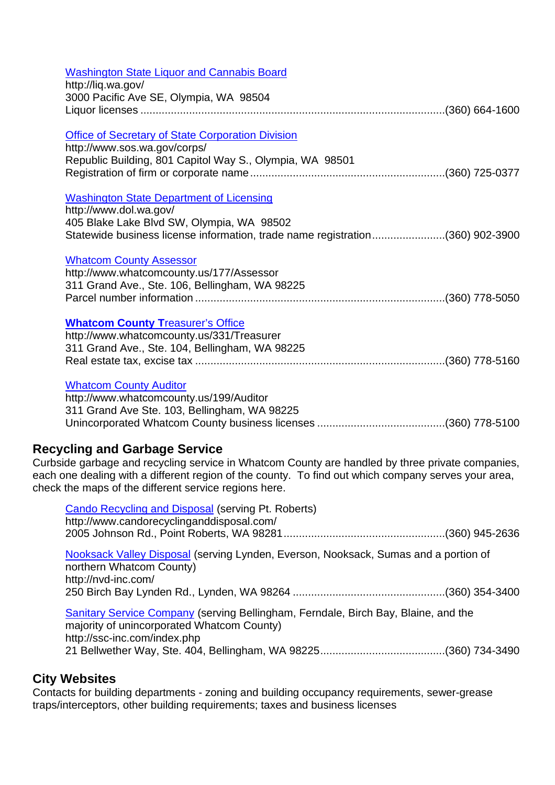| <b>Washington State Liquor and Cannabis Board</b>                                                   |  |
|-----------------------------------------------------------------------------------------------------|--|
| http://liq.wa.gov/                                                                                  |  |
| 3000 Pacific Ave SE, Olympia, WA 98504                                                              |  |
|                                                                                                     |  |
| <b>Office of Secretary of State Corporation Division</b>                                            |  |
| http://www.sos.wa.gov/corps/                                                                        |  |
| Republic Building, 801 Capitol Way S., Olympia, WA 98501                                            |  |
|                                                                                                     |  |
| <b>Washington State Department of Licensing</b>                                                     |  |
| http://www.dol.wa.gov/                                                                              |  |
| 405 Blake Lake Blvd SW, Olympia, WA 98502                                                           |  |
| Statewide business license information, trade name registration(360) 902-3900                       |  |
| <b>Whatcom County Assessor</b>                                                                      |  |
| http://www.whatcomcounty.us/177/Assessor                                                            |  |
| 311 Grand Ave., Ste. 106, Bellingham, WA 98225                                                      |  |
|                                                                                                     |  |
| <b>Whatcom County Treasurer's Office</b>                                                            |  |
| http://www.whatcomcounty.us/331/Treasurer                                                           |  |
| 311 Grand Ave., Ste. 104, Bellingham, WA 98225                                                      |  |
|                                                                                                     |  |
| <b>Whatcom County Auditor</b>                                                                       |  |
| http://www.whatcomcounty.us/199/Auditor                                                             |  |
| 311 Grand Ave Ste. 103, Bellingham, WA 98225                                                        |  |
|                                                                                                     |  |
| <b>Recycling and Garbage Service</b>                                                                |  |
| Curbside garbage and recycling service in Whatcom County are handled by three private companies,    |  |
| each one dealing with a different region of the county. To find out which company serves your area, |  |
| check the maps of the different service regions here.                                               |  |
| <b>Cando Recycling and Disposal (serving Pt. Roberts)</b>                                           |  |
| http://www.candorecyclinganddisposal.com/                                                           |  |
|                                                                                                     |  |
| Nooksack Valley Disposal (serving Lynden, Everson, Nooksack, Sumas and a portion of                 |  |
| northern Whatcom County)                                                                            |  |
| http://nvd-inc.com/                                                                                 |  |
|                                                                                                     |  |
| <b>Sanitary Service Company (serving Bellingham, Ferndale, Birch Bay, Blaine, and the</b>           |  |
| majority of unincorporated Whatcom County)                                                          |  |
| http://ssc-inc.com/index.php                                                                        |  |
|                                                                                                     |  |
|                                                                                                     |  |

## **City Websites**

Contacts for building departments - zoning and building occupancy requirements, sewer-grease traps/interceptors, other building requirements; taxes and business licenses